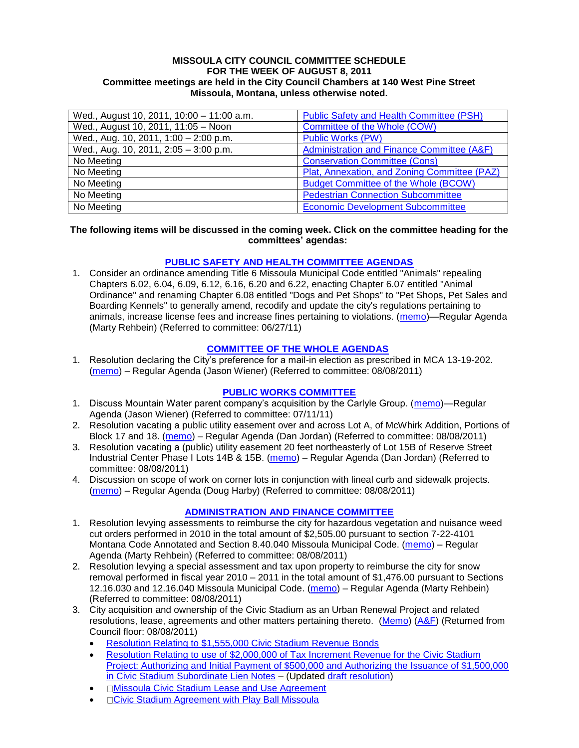#### **MISSOULA CITY COUNCIL COMMITTEE SCHEDULE FOR THE WEEK OF AUGUST 8, 2011 Committee meetings are held in the City Council Chambers at 140 West Pine Street Missoula, Montana, unless otherwise noted.**

| Wed., August 10, 2011, 10:00 - 11:00 a.m. | <b>Public Safety and Health Committee (PSH)</b> |
|-------------------------------------------|-------------------------------------------------|
| Wed., August 10, 2011, 11:05 - Noon       | Committee of the Whole (COW)                    |
| Wed., Aug. 10, 2011, 1:00 - 2:00 p.m.     | <b>Public Works (PW)</b>                        |
| Wed., Aug. 10, 2011, 2:05 - 3:00 p.m.     | Administration and Finance Committee (A&F)      |
| No Meeting                                | <b>Conservation Committee (Cons)</b>            |
| No Meeting                                | Plat, Annexation, and Zoning Committee (PAZ)    |
| No Meeting                                | <b>Budget Committee of the Whole (BCOW)</b>     |
| No Meeting                                | <b>Pedestrian Connection Subcommittee</b>       |
| No Meeting                                | <b>Economic Development Subcommittee</b>        |

#### **The following items will be discussed in the coming week. Click on the committee heading for the committees' agendas:**

## **[PUBLIC SAFETY AND HEALTH COMMITTEE AGENDAS](http://www.ci.missoula.mt.us/DocumentCenterii.aspx?FID=836)**

1. Consider an ordinance amending Title 6 Missoula Municipal Code entitled "Animals" repealing Chapters 6.02, 6.04, 6.09, 6.12, 6.16, 6.20 and 6.22, enacting Chapter 6.07 entitled "Animal Ordinance" and renaming Chapter 6.08 entitled "Dogs and Pet Shops" to "Pet Shops, Pet Sales and Boarding Kennels" to generally amend, recodify and update the city's regulations pertaining to animals, increase license fees and increase fines pertaining to violations. [\(memo\)](http://www.ci.missoula.mt.us/DocumentView.aspx?DID=6698)—Regular Agenda (Marty Rehbein) (Referred to committee: 06/27/11)

#### **[COMMITTEE OF THE WHOLE](http://www.ci.missoula.mt.us/DocumentCenterii.aspx?FID=834) AGENDAS**

1. Resolution declaring the City's preference for a mail-in election as prescribed in MCA 13-19-202. [\(memo\)](http://www.ci.missoula.mt.us/DocumentView.aspx?DID=7023) – Regular Agenda (Jason Wiener) (Referred to committee: 08/08/2011)

# **[PUBLIC WORKS COMMITTEE](http://www.ci.missoula.mt.us/DocumentCenterii.aspx?FID=833)**

- 1. Discuss Mountain Water parent company's acquisition by the Carlyle Group. [\(memo\)](http://www.ci.missoula.mt.us/DocumentView.aspx?DID=6777)—Regular Agenda (Jason Wiener) (Referred to committee: 07/11/11)
- 2. Resolution vacating a public utility easement over and across Lot A, of McWhirk Addition, Portions of Block 17 and 18. [\(memo\)](http://www.ci.missoula.mt.us/DocumentView.aspx?DID=7014) – Regular Agenda (Dan Jordan) (Referred to committee: 08/08/2011)
- 3. Resolution vacating a (public) utility easement 20 feet northeasterly of Lot 15B of Reserve Street Industrial Center Phase I Lots 14B & 15B. [\(memo\)](http://www.ci.missoula.mt.us/DocumentView.aspx?DID=7015) – Regular Agenda (Dan Jordan) (Referred to committee: 08/08/2011)
- 4. Discussion on scope of work on corner lots in conjunction with lineal curb and sidewalk projects. [\(memo\)](http://www.ci.missoula.mt.us/DocumentView.aspx?DID=7016) – Regular Agenda (Doug Harby) (Referred to committee: 08/08/2011)

## **[ADMINISTRATION AND FINANCE COMMITTEE](http://www.ci.missoula.mt.us/DocumentCenterii.aspx?FID=830)**

- 1. Resolution levying assessments to reimburse the city for hazardous vegetation and nuisance weed cut orders performed in 2010 in the total amount of \$2,505.00 pursuant to section 7-22-4101 Montana Code Annotated and Section 8.40.040 Missoula Municipal Code. [\(memo\)](http://www.ci.missoula.mt.us/DocumentView.aspx?DID=7003) – Regular Agenda (Marty Rehbein) (Referred to committee: 08/08/2011)
- 2. Resolution levying a special assessment and tax upon property to reimburse the city for snow removal performed in fiscal year 2010 – 2011 in the total amount of \$1,476.00 pursuant to Sections 12.16.030 and 12.16.040 Missoula Municipal Code. [\(memo\)](http://www.ci.missoula.mt.us/DocumentView.aspx?DID=6990) – Regular Agenda (Marty Rehbein) (Referred to committee: 08/08/2011)
- 3. City acquisition and ownership of the Civic Stadium as an Urban Renewal Project and related resolutions, lease, agreements and other matters pertaining thereto. [\(Memo\)](http://www.ci.missoula.mt.us/DocumentView.aspx?DID=6794) [\(A&F\)](http://www.ci.missoula.mt.us/Archive.aspx?ADID=4188) (Returned from Council floor: 08/08/2011)
	- [Resolution Relating to \\$1,555,000 Civic Stadium Revenue Bonds](http://www.ci.missoula.mt.us/DocumentView.aspx?DID=6975)
	- [Resolution Relating to use of \\$2,000,000 of Tax Increment Revenue for the Civic Stadium](http://www.ci.missoula.mt.us/DocumentView.aspx?DID=6974)  [Project: Authorizing and Initial Payment of \\$500,000 and Authorizing the Issuance of \\$1,500,000](http://www.ci.missoula.mt.us/DocumentView.aspx?DID=6974)  [in Civic Stadium Subordinate Lien Notes](http://www.ci.missoula.mt.us/DocumentView.aspx?DID=6974) – (Updated [draft resolution\)](http://www.ci.missoula.mt.us/DocumentView.aspx?DID=7028)
	- □[Missoula Civic Stadium Lease and Use Agreement](http://www.ci.missoula.mt.us/DocumentView.aspx?DID=7025)
	- □[Civic Stadium Agreement with Play Ball Missoula](http://www.ci.missoula.mt.us/DocumentView.aspx?DID=6973)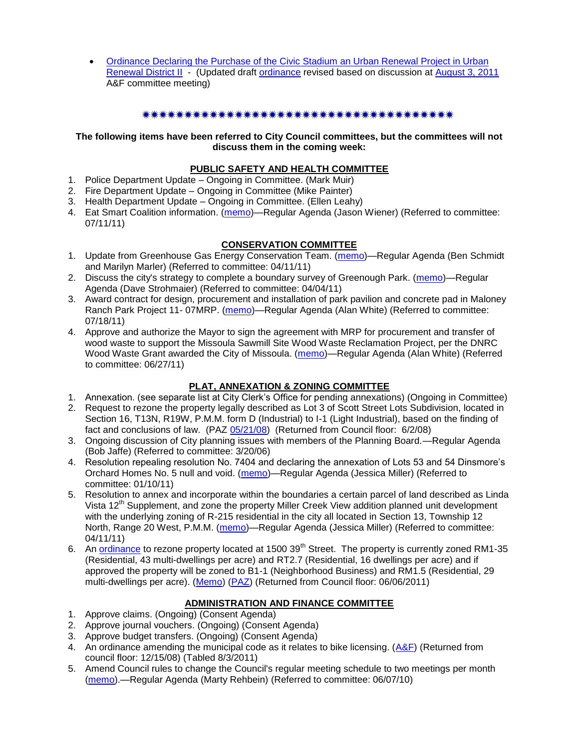[Ordinance Declaring the Purchase of the Civic Stadium an Urban Renewal Project in Urban](http://www.ci.missoula.mt.us/DocumentView.aspx?DID=6978)  [Renewal District II](http://www.ci.missoula.mt.us/DocumentView.aspx?DID=6978) - (Updated draft [ordinance](http://www.ci.missoula.mt.us/DocumentView.aspx?DID=7024) revised based on discussion at [August 3, 2011](http://www.ci.missoula.mt.us/Archive.aspx?ADID=4275) A&F committee meeting)

## 

## **The following items have been referred to City Council committees, but the committees will not discuss them in the coming week:**

## **PUBLIC SAFETY AND HEALTH COMMITTEE**

- 1. Police Department Update Ongoing in Committee. (Mark Muir)
- 2. Fire Department Update Ongoing in Committee (Mike Painter)
- 3. Health Department Update Ongoing in Committee. (Ellen Leahy)
- 4. Eat Smart Coalition information. [\(memo\)](http://www.ci.missoula.mt.us/DocumentView.aspx?DID=6776)—Regular Agenda (Jason Wiener) (Referred to committee: 07/11/11)

## **CONSERVATION COMMITTEE**

- 1. Update from Greenhouse Gas Energy Conservation Team. [\(memo\)](http://www.ci.missoula.mt.us/DocumentView.aspx?DID=5945)—Regular Agenda (Ben Schmidt and Marilyn Marler) (Referred to committee: 04/11/11)
- 2. Discuss the city's strategy to complete a boundary survey of Greenough Park. [\(memo\)](http://www.ci.missoula.mt.us/DocumentView.aspx?DID=5875)—Regular Agenda (Dave Strohmaier) (Referred to committee: 04/04/11)
- 3. Award contract for design, procurement and installation of park pavilion and concrete pad in Maloney Ranch Park Project 11- 07MRP. [\(memo\)](http://www.ci.missoula.mt.us/DocumentView.aspx?DID=6859)—Regular Agenda (Alan White) (Referred to committee: 07/18/11)
- 4. Approve and authorize the Mayor to sign the agreement with MRP for procurement and transfer of wood waste to support the Missoula Sawmill Site Wood Waste Reclamation Project, per the DNRC Wood Waste Grant awarded the City of Missoula. [\(memo\)](http://www.ci.missoula.mt.us/DocumentView.aspx?DID=6682)—Regular Agenda (Alan White) (Referred to committee: 06/27/11)

## **PLAT, ANNEXATION & ZONING COMMITTEE**

- 1. Annexation. (see separate list at City Clerk's Office for pending annexations) (Ongoing in Committee)
- 2. Request to rezone the property legally described as Lot 3 of Scott Street Lots Subdivision, located in Section 16, T13N, R19W, P.M.M. form D (Industrial) to I-1 (Light Industrial), based on the finding of fact and conclusions of law. (PAZ [05/21/08\)](ftp://ftp.ci.missoula.mt.us/Packets/Council/2008/2008-06-02/080521paz.pdf) (Returned from Council floor: 6/2/08)
- 3. Ongoing discussion of City planning issues with members of the Planning Board.—Regular Agenda (Bob Jaffe) (Referred to committee: 3/20/06)
- 4. Resolution repealing resolution No. 7404 and declaring the annexation of Lots 53 and 54 Dinsmore's Orchard Homes No. 5 null and void. [\(memo\)](http://www.ci.missoula.mt.us/DocumentView.aspx?DID=5349)—Regular Agenda (Jessica Miller) (Referred to committee: 01/10/11)
- 5. Resolution to annex and incorporate within the boundaries a certain parcel of land described as Linda Vista 12<sup>th</sup> Supplement, and zone the property Miller Creek View addition planned unit development with the underlying zoning of R-215 residential in the city all located in Section 13, Township 12 North, Range 20 West, P.M.M. [\(memo\)](http://www.ci.missoula.mt.us/DocumentView.aspx?DID=5992)—Regular Agenda (Jessica Miller) (Referred to committee: 04/11/11)
- 6. An [ordinance](http://www.ci.missoula.mt.us/DocumentView.aspx?DID=6463) to rezone property located at 1500 39<sup>th</sup> Street. The property is currently zoned RM1-35 (Residential, 43 multi-dwellings per acre) and RT2.7 (Residential, 16 dwellings per acre) and if approved the property will be zoned to B1-1 (Neighborhood Business) and RM1.5 (Residential, 29 multi-dwellings per acre). [\(Memo\)](http://www.ci.missoula.mt.us/DocumentView.aspx?DID=6469) [\(PAZ\)](http://www.ci.missoula.mt.us/Archive.aspx?ADID=4010) (Returned from Council floor: 06/06/2011)

## **ADMINISTRATION AND FINANCE COMMITTEE**

- 1. Approve claims. (Ongoing) (Consent Agenda)
- 2. Approve journal vouchers. (Ongoing) (Consent Agenda)
- 3. Approve budget transfers. (Ongoing) (Consent Agenda)
- 4. An ordinance amending the municipal code as it relates to bike licensing. [\(A&F\)](ftp://ftp.ci.missoula.mt.us/Packets/Council/2008/2008-12-15/081210af.pdf) (Returned from council floor: 12/15/08) (Tabled 8/3/2011)
- 5. Amend Council rules to change the Council's regular meeting schedule to two meetings per month [\(memo\)](http://www.ci.missoula.mt.us/DocumentView.aspx?DID=4027).—Regular Agenda (Marty Rehbein) (Referred to committee: 06/07/10)